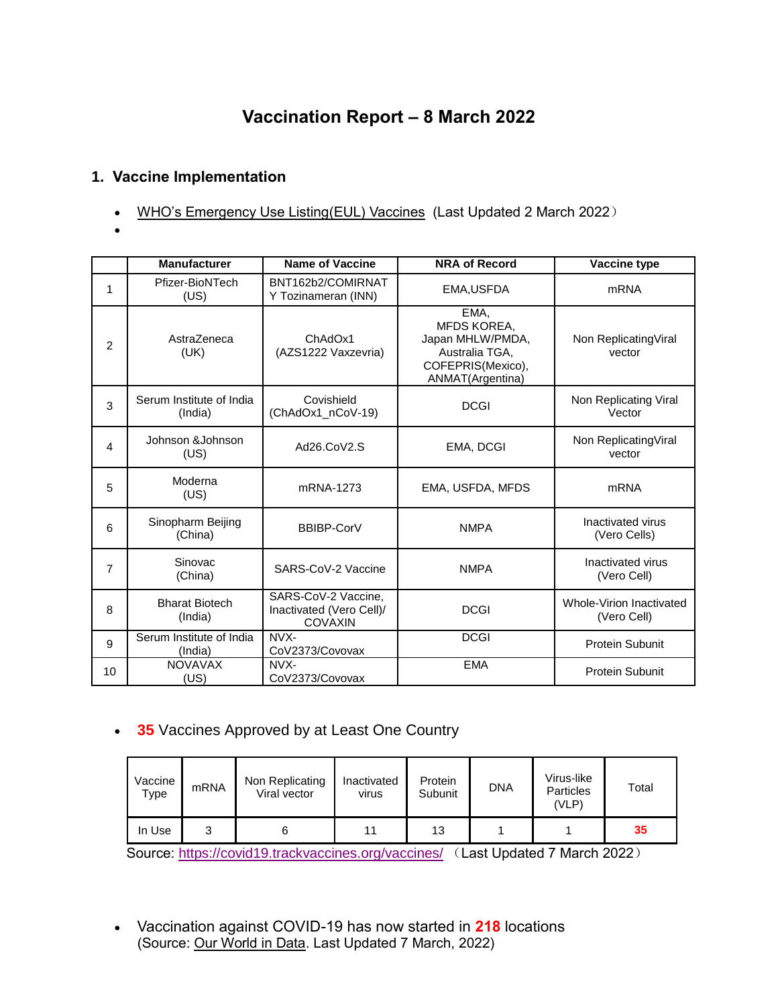# **Vaccination Report – 8 March 2022**

### **1. Vaccine Implementation**

- [WHO's Emergency Use Listing\(EUL\) Vaccines](https://extranet.who.int/pqweb/sites/default/files/documents/Status_COVID_VAX_02March2022.pdf) (Last Updated 2 March 2022)
- $\bullet$

|                | <b>Manufacturer</b>                 | <b>Name of Vaccine</b>                                            | <b>NRA of Record</b>                                                                               | Vaccine type                            |
|----------------|-------------------------------------|-------------------------------------------------------------------|----------------------------------------------------------------------------------------------------|-----------------------------------------|
| 1              | Pfizer-BioNTech<br>(US)             | BNT162b2/COMIRNAT<br>Y Tozinameran (INN)                          | EMA, USFDA                                                                                         | <b>mRNA</b>                             |
| $\overline{2}$ | AstraZeneca<br>(UK)                 | ChAdOx1<br>(AZS1222 Vaxzevria)                                    | EMA.<br>MFDS KOREA,<br>Japan MHLW/PMDA,<br>Australia TGA,<br>COFEPRIS(Mexico),<br>ANMAT(Argentina) | Non Replicating Viral<br>vector         |
| 3              | Serum Institute of India<br>(India) | Covishield<br>(ChAdOx1_nCoV-19)                                   | <b>DCGI</b>                                                                                        | Non Replicating Viral<br>Vector         |
| 4              | Johnson & Johnson<br>(US)           | Ad26.CoV2.S                                                       | EMA, DCGI                                                                                          | Non ReplicatingViral<br>vector          |
| 5              | Moderna<br>(US)                     | mRNA-1273                                                         | EMA, USFDA, MFDS                                                                                   | <b>mRNA</b>                             |
| 6              | Sinopharm Beijing<br>(China)        | BBIBP-CorV                                                        | <b>NMPA</b>                                                                                        | Inactivated virus<br>(Vero Cells)       |
| $\overline{7}$ | Sinovac<br>(China)                  | SARS-CoV-2 Vaccine                                                | <b>NMPA</b>                                                                                        | Inactivated virus<br>(Vero Cell)        |
| 8              | <b>Bharat Biotech</b><br>(India)    | SARS-CoV-2 Vaccine,<br>Inactivated (Vero Cell)/<br><b>COVAXIN</b> | <b>DCGI</b>                                                                                        | Whole-Virion Inactivated<br>(Vero Cell) |
| 9              | Serum Institute of India<br>(India) | NVX-<br>CoV2373/Covovax                                           | <b>DCGI</b>                                                                                        | <b>Protein Subunit</b>                  |
| 10             | <b>NOVAVAX</b><br>(US)              | NVX-<br>CoV2373/Covovax                                           | <b>EMA</b>                                                                                         | <b>Protein Subunit</b>                  |

## **35** Vaccines Approved by at Least One Country

| Vaccine<br>Type | <b>mRNA</b> | Non Replicating<br>Viral vector | Inactivated<br><b>Virus</b> | Protein<br>Subunit | <b>DNA</b> | Virus-like<br><b>Particles</b><br>(VLP) | Total |
|-----------------|-------------|---------------------------------|-----------------------------|--------------------|------------|-----------------------------------------|-------|
| In Use          |             |                                 |                             | 13                 |            |                                         | 35    |

Source:<https://covid19.trackvaccines.org/vaccines/> (Last Updated 7 March 2022)

 Vaccination against COVID-19 has now started in **218** locations (Source: [Our World in Data.](https://ourworldindata.org/covid-vaccinations) Last Updated 7 March, 2022)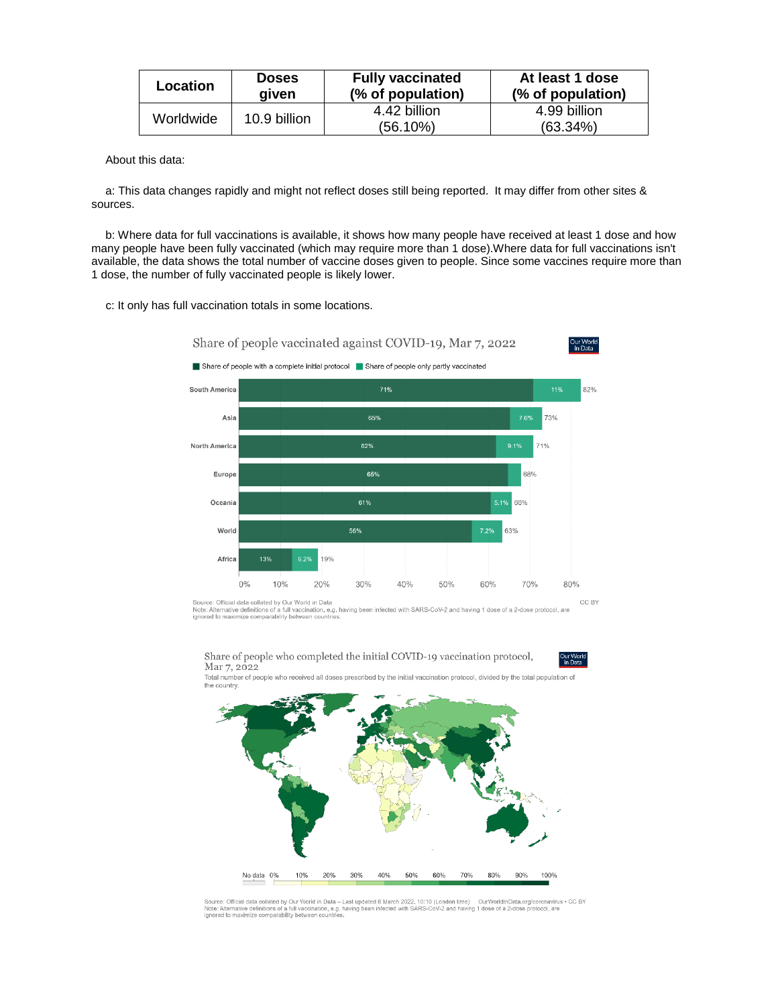| Location  | <b>Doses</b><br>aiven | <b>Fully vaccinated</b><br>(% of population) | At least 1 dose<br>(% of population) |
|-----------|-----------------------|----------------------------------------------|--------------------------------------|
| Worldwide | 10.9 billion          | 4.42 billion                                 | 4.99 billion                         |
|           |                       | $(56.10\%)$                                  | $(63.34\%)$                          |

About this data:

a: This data changes rapidly and might not reflect doses still being reported. It may differ from other sites & sources.

b: Where data for full vaccinations is available, it shows how many people have received at least 1 dose and how many people have been fully vaccinated (which may require more than 1 dose).Where data for full vaccinations isn't available, the data shows the total number of vaccine doses given to people. Since some vaccines require more than 1 dose, the number of fully vaccinated people is likely lower.

c: It only has full vaccination totals in some locations.



Source: Official data collated by Our World in Data<br>Note: Alternative definitions of a full vaccination, e.g. having been infected with SARS-CoV-2 and having 1 dose of a 2-dose protocol, are<br>ignored to maximize comparabili

Share of people who completed the initial COVID-19 vaccination protocol, Mar 7, 2022



Total number of peop<br>the country. who received all doses prescribed by the initial vaccination protocol, divided by the total population of



Source: Official data collated by Our World in Data – Last updated 8 March 2022, 10:10 (London time) — OurWorldlnData.org/coronavirus ∙ CC BY<br>Note: Alternative definitions of a full vaccination, e.g. having been infected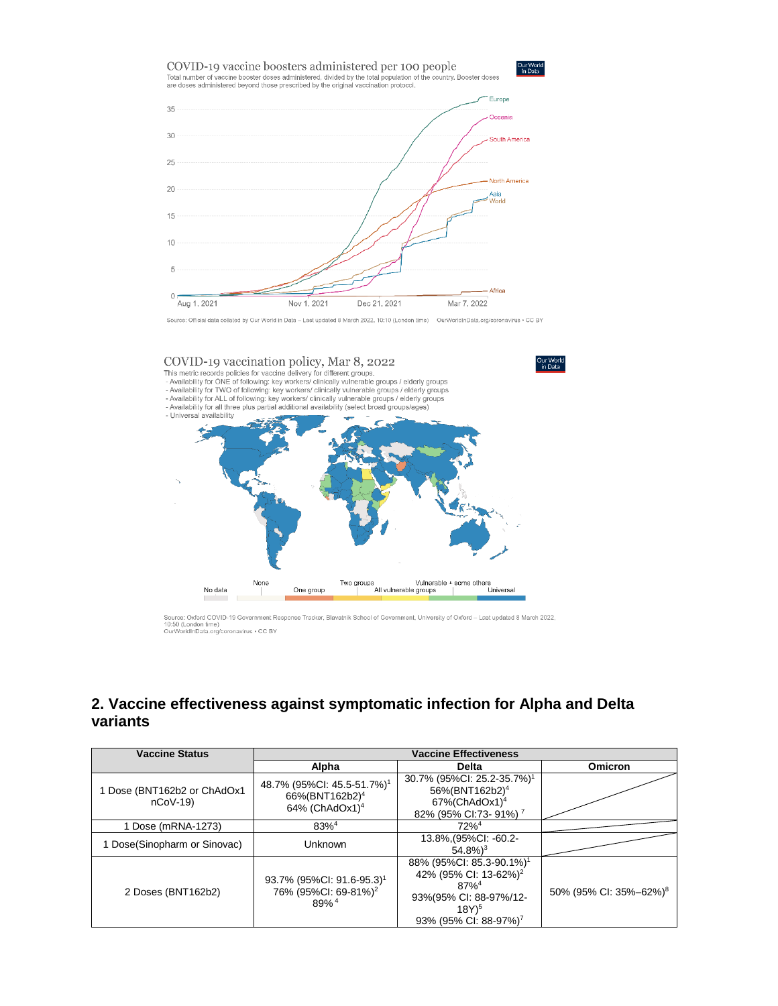

Source: Official data collated by Our World in Data - Last updated 8 March 2022, 10:10 (London time) OurWorldInData.org/coronavirus . CC BY



Source: Oxford COVID-19 Government Response Tracker, Blavatnik School of Government, University of Oxford – Last updated 8 March 2022,<br>10:50 (London time)<br>OurWorldInData.org/coronavirus • CC BY

### **2. Vaccine effectiveness against symptomatic infection for Alpha and Delta variants**

| <b>Vaccine Status</b>                  | <b>Vaccine Effectiveness</b>                                                                       |                                                                                                                                                                   |                                    |  |
|----------------------------------------|----------------------------------------------------------------------------------------------------|-------------------------------------------------------------------------------------------------------------------------------------------------------------------|------------------------------------|--|
|                                        | Alpha                                                                                              | <b>Delta</b>                                                                                                                                                      | <b>Omicron</b>                     |  |
| Dose (BNT162b2 or ChAdOx1<br>$nCoV-19$ | 48.7% (95%Cl: 45.5-51.7%) <sup>1</sup><br>66%(BNT162b2) <sup>4</sup><br>64% (ChAdOx1) <sup>4</sup> | 30.7% (95%Cl: 25.2-35.7%) <sup>1</sup><br>56%(BNT162b2) <sup>4</sup><br>$67\%$ (ChAdOx1) <sup>4</sup><br>82% (95% CI:73- 91%) <sup>7</sup>                        |                                    |  |
| 1 Dose (mRNA-1273)                     | $83\%^{4}$                                                                                         | $72%^4$                                                                                                                                                           |                                    |  |
| 1 Dose(Sinopharm or Sinovac)           | Unknown                                                                                            | 13.8%, (95%Cl: -60.2-<br>$54.8\%$ <sup>3</sup>                                                                                                                    |                                    |  |
| 2 Doses (BNT162b2)                     | 93.7% (95%CI: 91.6-95.3) <sup>1</sup><br>76% (95%Cl: 69-81%) <sup>2</sup><br>$89%$ <sup>4</sup>    | 88% (95%Cl: 85.3-90.1%) <sup>1</sup><br>42% (95% CI: 13-62%) <sup>2</sup><br>$87%^{4}$<br>93%(95% CI: 88-97%/12-<br>$18Y)^5$<br>93% (95% CI: 88-97%) <sup>7</sup> | 50% (95% CI: 35%-62%) <sup>8</sup> |  |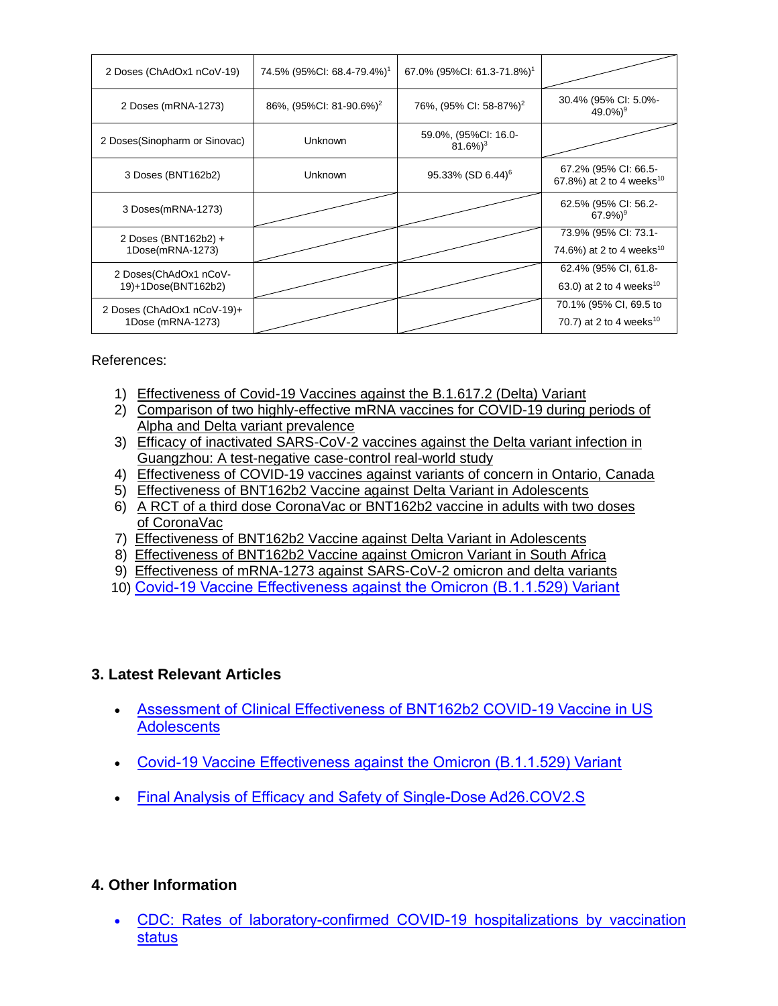| 2 Doses (ChAdOx1 nCoV-19)                       | 74.5% (95%CI: 68.4-79.4%) <sup>1</sup> | 67.0% (95%Cl: 61.3-71.8%) <sup>1</sup>        |                                                               |
|-------------------------------------------------|----------------------------------------|-----------------------------------------------|---------------------------------------------------------------|
| 2 Doses (mRNA-1273)                             | 86%, (95%CI: 81-90.6%) <sup>2</sup>    | 76%, (95% CI: 58-87%) <sup>2</sup>            | 30.4% (95% CI: 5.0%-<br>$49.0\%$ <sup>9</sup>                 |
| 2 Doses(Sinopharm or Sinovac)                   | <b>Unknown</b>                         | 59.0%, (95%CI: 16.0-<br>$81.6\%$ <sup>3</sup> |                                                               |
| 3 Doses (BNT162b2)                              | <b>Unknown</b>                         | 95.33% (SD 6.44) <sup>6</sup>                 | 67.2% (95% CI: 66.5-<br>67.8%) at 2 to 4 weeks <sup>10</sup>  |
| 3 Doses(mRNA-1273)                              |                                        |                                               | 62.5% (95% CI: 56.2-<br>$67.9\%)$ <sup>9</sup>                |
| 2 Doses (BNT162b2) +<br>1Dose(mRNA-1273)        |                                        |                                               | 73.9% (95% CI: 73.1-<br>74.6%) at 2 to 4 weeks <sup>10</sup>  |
| 2 Doses(ChAdOx1 nCoV-<br>19)+1Dose(BNT162b2)    |                                        |                                               | 62.4% (95% CI, 61.8-<br>63.0) at 2 to 4 weeks <sup>10</sup>   |
| 2 Doses (ChAdOx1 nCoV-19)+<br>1Dose (mRNA-1273) |                                        |                                               | 70.1% (95% CI, 69.5 to<br>70.7) at 2 to 4 weeks <sup>10</sup> |

References:

- 1) [Effectiveness of Covid-19 Vaccines against the B.1.617.2 \(Delta\) Variant](https://www.nejm.org/doi/pdf/10.1056/NEJMoa2108891?articleTools=true)
- 2) [Comparison of two highly-effective mRNA vaccines for COVID-19 during periods of](https://www.medrxiv.org/content/10.1101/2021.08.06.21261707v1.full.pdf)  [Alpha and Delta variant prevalence](https://www.medrxiv.org/content/10.1101/2021.08.06.21261707v1.full.pdf)
- 3) [Efficacy of inactivated SARS-CoV-2 vaccines against the](https://www.tandfonline.com/doi/full/10.1080/22221751.2021.1969291) Delta variant infection in [Guangzhou: A test-negative case-control real-world study](https://www.tandfonline.com/doi/full/10.1080/22221751.2021.1969291)
- 4) [Effectiveness of COVID-19 vaccines against variants of concern in Ontario, Canada](https://www.medrxiv.org/content/10.1101/2021.06.28.21259420v2.full.pdf)
- 5) [Effectiveness of BNT162b2 Vaccine against Delta Variant in Adolescents](https://www.nejm.org/doi/pdf/10.1056/NEJMc2114290?articleTools=true)
- 6) [A RCT of a third dose CoronaVac or BNT162b2 vaccine in adults with two doses](https://www.medrxiv.org/content/10.1101/2021.11.02.21265843v1.full.pdf)  [of CoronaVac](https://www.medrxiv.org/content/10.1101/2021.11.02.21265843v1.full.pdf)
- 7) [Effectiveness of BNT162b2 Vaccine against Delta Variant in Adolescents](https://www.nejm.org/doi/full/10.1056/NEJMc2114290?query=featured_home)
- 8) [Effectiveness of BNT162b2 Vaccine against Omicron Variant in South Africa](https://www.nejm.org/doi/full/10.1056/NEJMc2119270)
- 9) Effectiveness [of mRNA-1273 against SARS-CoV-2 omicron and delta variants](https://www.medrxiv.org/content/10.1101/2022.01.07.22268919v1)
- 10) [Covid-19 Vaccine Effectiveness against the Omicron \(B.1.1.529\) Variant](https://www.nejm.org/doi/full/10.1056/NEJMoa2119451?query=featured_home)

### **3. Latest Relevant Articles**

- [Assessment of Clinical Effectiveness of BNT162b2 COVID-19 Vaccine in US](https://jamanetwork.com/journals/jamanetworkopen/fullarticle/2789579)  **[Adolescents](https://jamanetwork.com/journals/jamanetworkopen/fullarticle/2789579)**
- [Covid-19 Vaccine Effectiveness against the Omicron \(B.1.1.529\) Variant](https://www.nejm.org/doi/full/10.1056/NEJMoa2119451?query=featured_home)
- [Final Analysis of Efficacy and Safety of Single-Dose Ad26.COV2.S](https://www.nejm.org/doi/full/10.1056/NEJMoa2117608?query=featured_home)

### **4. Other Information**

 [CDC: Rates of laboratory-confirmed COVID-19 hospitalizations by vaccination](https://covid.cdc.gov/covid-data-tracker/#covidnet-hospitalizations-vaccination)  [status](https://covid.cdc.gov/covid-data-tracker/#covidnet-hospitalizations-vaccination)